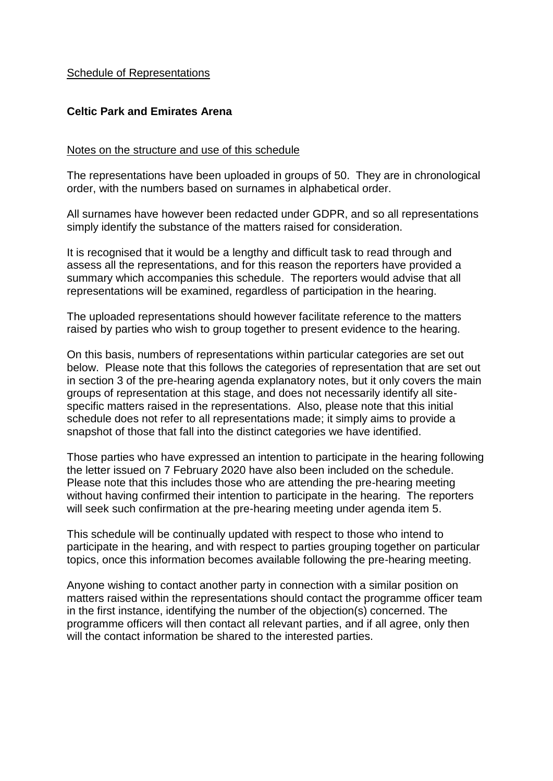#### Schedule of Representations

#### **Celtic Park and Emirates Arena**

#### Notes on the structure and use of this schedule

The representations have been uploaded in groups of 50. They are in chronological order, with the numbers based on surnames in alphabetical order.

All surnames have however been redacted under GDPR, and so all representations simply identify the substance of the matters raised for consideration.

It is recognised that it would be a lengthy and difficult task to read through and assess all the representations, and for this reason the reporters have provided a summary which accompanies this schedule. The reporters would advise that all representations will be examined, regardless of participation in the hearing.

The uploaded representations should however facilitate reference to the matters raised by parties who wish to group together to present evidence to the hearing.

On this basis, numbers of representations within particular categories are set out below. Please note that this follows the categories of representation that are set out in section 3 of the pre-hearing agenda explanatory notes, but it only covers the main groups of representation at this stage, and does not necessarily identify all sitespecific matters raised in the representations. Also, please note that this initial schedule does not refer to all representations made; it simply aims to provide a snapshot of those that fall into the distinct categories we have identified.

Those parties who have expressed an intention to participate in the hearing following the letter issued on 7 February 2020 have also been included on the schedule. Please note that this includes those who are attending the pre-hearing meeting without having confirmed their intention to participate in the hearing. The reporters will seek such confirmation at the pre-hearing meeting under agenda item 5.

This schedule will be continually updated with respect to those who intend to participate in the hearing, and with respect to parties grouping together on particular topics, once this information becomes available following the pre-hearing meeting.

Anyone wishing to contact another party in connection with a similar position on matters raised within the representations should contact the programme officer team in the first instance, identifying the number of the objection(s) concerned. The programme officers will then contact all relevant parties, and if all agree, only then will the contact information be shared to the interested parties.